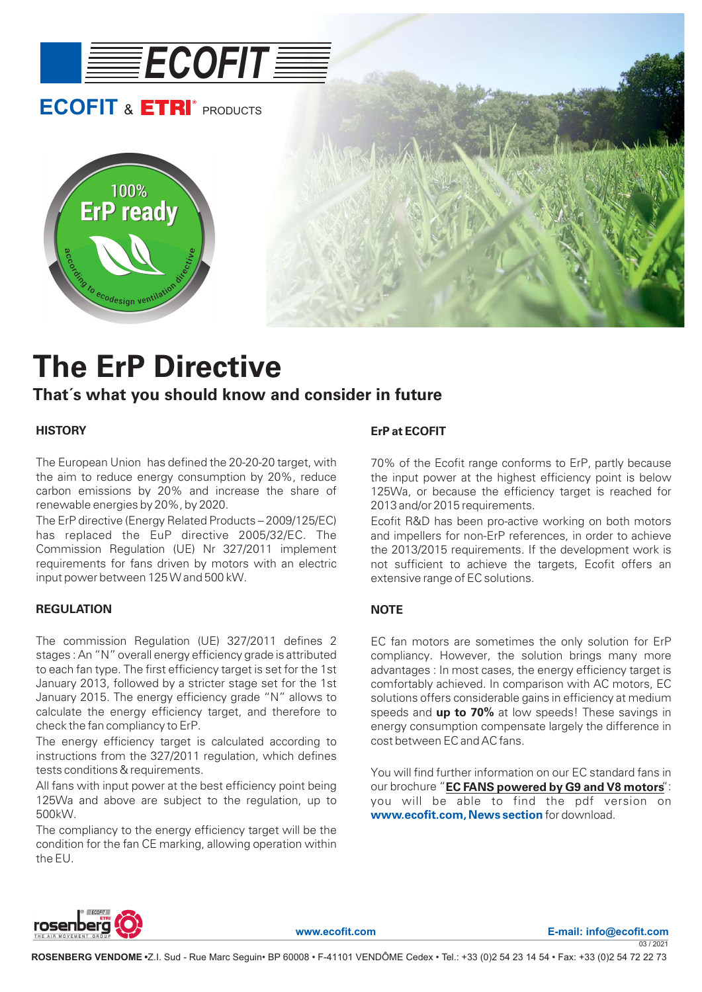

# **The ErP Directive**

### **That´s what you should know and consider in future**

#### **HISTORY**

The European Union has defined the 20-20-20 target, with the aim to reduce energy consumption by 20%, reduce carbon emissions by 20% and increase the share of renewable energies by 20%, by 2020.

The ErP directive (Energy Related Products – 2009/125/EC) has replaced the EuP directive 2005/32/EC. The Commission Regulation (UE) Nr 327/2011 implement requirements for fans driven by motors with an electric input power between 125 W and 500 kW.

#### **REGULATION**

The commission Regulation (UE) 327/2011 defines 2 stages : An "N" overall energy efficiency grade is attributed to each fan type. The first efficiency target is set for the 1st January 2013, followed by a stricter stage set for the 1st January 2015. The energy efficiency grade "N" allows to calculate the energy efficiency target, and therefore to check the fan compliancy to ErP.

The energy efficiency target is calculated according to instructions from the 327/2011 regulation, which defines tests conditions & requirements.

All fans with input power at the best efficiency point being 125Wa and above are subject to the regulation, up to 500kW.

The compliancy to the energy efficiency target will be the condition for the fan CE marking, allowing operation within the EU.

#### **ErP at ECOFIT**

70% of the Ecofit range conforms to ErP, partly because the input power at the highest efficiency point is below 125Wa, or because the efficiency target is reached for 2013 and/or 2015 requirements.

Ecofit R&D has been pro-active working on both motors and impellers for non-ErP references, in order to achieve the 2013/2015 requirements. If the development work is not sufficient to achieve the targets, Ecofit offers an extensive range of EC solutions.

#### **NOTE**

speeds and **up to 70%** at low speeds! These savings in EC fan motors are sometimes the only solution for ErP compliancy. However, the solution brings many more advantages : In most cases, the energy efficiency target is comfortably achieved. In comparison with AC motors, EC solutions offers considerable gains in efficiency at medium energy consumption compensate largely the difference in cost between EC and AC fans.

You will find further information on our EC standard fans in  $\alpha$  brochure "**EC FANS powered by G9 and V8 motors**" you will be able to find the pdf version on www.ecofit.com, News section for download.